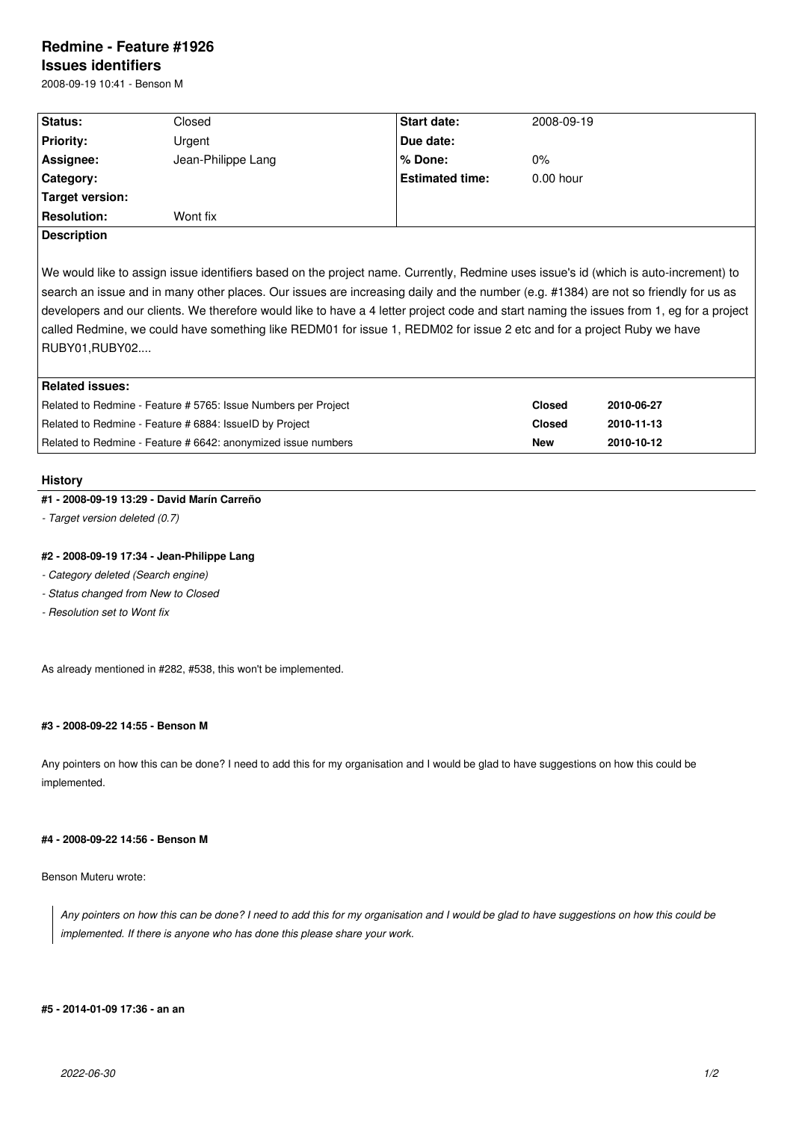# **Redmine - Feature #1926 Issues identifiers**

2008-09-19 10:41 - Benson M

| <b>Start date:</b><br><b>Status:</b><br>Closed<br>2008-09-19<br><b>Priority:</b><br>Due date:<br>Urgent<br>Assignee:<br>Jean-Philippe Lang<br>% Done:<br>$0\%$<br><b>Estimated time:</b><br>Category:<br>$0.00$ hour<br>Target version:<br><b>Resolution:</b><br>Wont fix<br><b>Description</b> |  |  |
|-------------------------------------------------------------------------------------------------------------------------------------------------------------------------------------------------------------------------------------------------------------------------------------------------|--|--|
|                                                                                                                                                                                                                                                                                                 |  |  |
|                                                                                                                                                                                                                                                                                                 |  |  |
|                                                                                                                                                                                                                                                                                                 |  |  |
|                                                                                                                                                                                                                                                                                                 |  |  |
|                                                                                                                                                                                                                                                                                                 |  |  |
|                                                                                                                                                                                                                                                                                                 |  |  |
|                                                                                                                                                                                                                                                                                                 |  |  |

We would like to assign issue identifiers based on the project name. Currently, Redmine uses issue's id (which is auto-increment) to search an issue and in many other places. Our issues are increasing daily and the number (e.g. #1384) are not so friendly for us as developers and our clients. We therefore would like to have a 4 letter project code and start naming the issues from 1, eg for a project called Redmine, we could have something like REDM01 for issue 1, REDM02 for issue 2 etc and for a project Ruby we have RUBY01,RUBY02....

| Related issues:                                                |               |            |  |  |  |
|----------------------------------------------------------------|---------------|------------|--|--|--|
| Related to Redmine - Feature # 5765: Issue Numbers per Project | <b>Closed</b> | 2010-06-27 |  |  |  |
| Related to Redmine - Feature # 6884: IssueID by Project        | Closed        | 2010-11-13 |  |  |  |
| Related to Redmine - Feature # 6642: anonymized issue numbers  | <b>New</b>    | 2010-10-12 |  |  |  |

## **History**

## **#1 - 2008-09-19 13:29 - David Marín Carreño**

*- Target version deleted (0.7)*

## **#2 - 2008-09-19 17:34 - Jean-Philippe Lang**

- *Category deleted (Search engine)*
- *Status changed from New to Closed*
- *Resolution set to Wont fix*

As already mentioned in #282, #538, this won't be implemented.

## **#3 - 2008-09-22 14:55 - Benson M**

Any pointers on how this can be done? I need to add this for my organisation and I would be glad to have suggestions on how this could be implemented.

## **#4 - 2008-09-22 14:56 - Benson M**

## Benson Muteru wrote:

*Any pointers on how this can be done? I need to add this for my organisation and I would be glad to have suggestions on how this could be implemented. If there is anyone who has done this please share your work.*

#### **#5 - 2014-01-09 17:36 - an an**